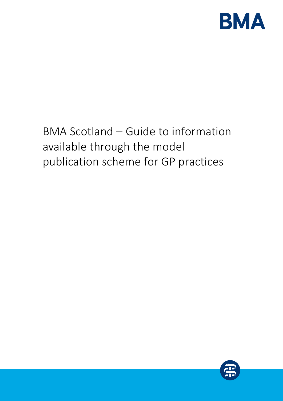

# BMA Scotland – Guide to information available through the model publication scheme for GP practices

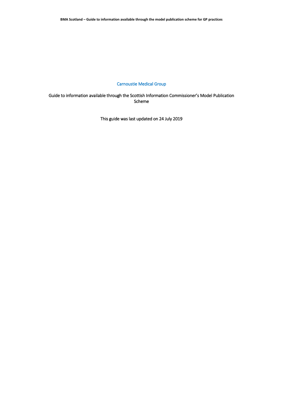# Carnoustie Medical Group

Guide to information available through the Scottish Information Commissioner's Model Publication Scheme

This guide was last updated on 24 July 2019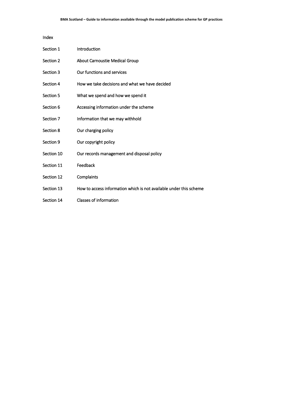#### Index

| Section 1  | Introduction                                                       |
|------------|--------------------------------------------------------------------|
| Section 2  | <b>About Carnoustie Medical Group</b>                              |
| Section 3  | Our functions and services                                         |
| Section 4  | How we take decisions and what we have decided                     |
| Section 5  | What we spend and how we spend it                                  |
| Section 6  | Accessing information under the scheme                             |
| Section 7  | Information that we may withhold                                   |
| Section 8  | Our charging policy                                                |
| Section 9  | Our copyright policy                                               |
| Section 10 | Our records management and disposal policy                         |
| Section 11 | Feedback                                                           |
| Section 12 | Complaints                                                         |
| Section 13 | How to access information which is not available under this scheme |
| Section 14 | <b>Classes of information</b>                                      |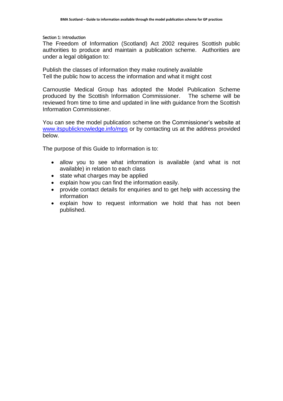#### Section 1: Introduction

The Freedom of Information (Scotland) Act 2002 requires Scottish public authorities to produce and maintain a publication scheme. Authorities are under a legal obligation to:

Publish the classes of information they make routinely available Tell the public how to access the information and what it might cost

Carnoustie Medical Group has adopted the Model Publication Scheme produced by the Scottish Information Commissioner. The scheme will be reviewed from time to time and updated in line with guidance from the Scottish Information Commissioner.

You can see the model publication scheme on the Commissioner's website at [www.itspublicknowledge.info/mps](http://www.itspublicknowledge.info/mps) or by contacting us at the address provided below.

The purpose of this Guide to Information is to:

- allow you to see what information is available (and what is not available) in relation to each class
- state what charges may be applied
- explain how you can find the information easily.
- provide contact details for enquiries and to get help with accessing the information
- explain how to request information we hold that has not been published.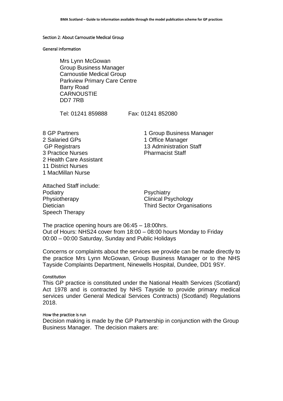#### Section 2: About Carnoustie Medical Group

#### General information

Mrs Lynn McGowan Group Business Manager Carnoustie Medical Group Parkview Primary Care Centre Barry Road **CARNOUSTIE** DD7 7RB

Tel: 01241 859888 Fax: 01241 852080

2 Salaried GPs 1 Office Manager GP Registrars 13 Administration Staff 3 Practice Nurses **Pharmacist Staff** 2 Health Care Assistant 11 District Nurses 1 MacMillan Nurse

8 GP Partners 1 Group Business Manager

Attached Staff include: Podiatry **Prodiatry** Psychiatry Physiotherapy **Clinical Psychology** Speech Therapy

Dietician **Dietician** Third Sector Organisations

The practice opening hours are 06:45 – 18:00hrs. Out of Hours: NHS24 cover from 18:00 – 08:00 hours Monday to Friday 00:00 – 00:00 Saturday, Sunday and Public Holidays

Concerns or complaints about the services we provide can be made directly to the practice Mrs Lynn McGowan, Group Business Manager or to the NHS Tayside Complaints Department, Ninewells Hospital, Dundee, DD1 9SY.

#### **Constitution**

This GP practice is constituted under the National Health Services (Scotland) Act 1978 and is contracted by NHS Tayside to provide primary medical services under General Medical Services Contracts) (Scotland) Regulations 2018.

#### How the practice is run

Decision making is made by the GP Partnership in conjunction with the Group Business Manager. The decision makers are: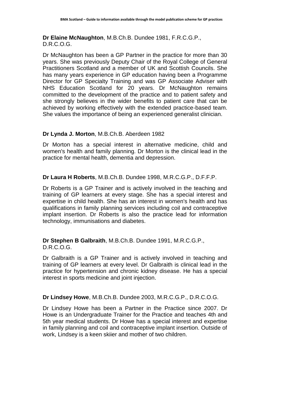**Dr Elaine McNaughton**, M.B.Ch.B. Dundee 1981, F.R.C.G.P., D.R.C.O.G.

Dr McNaughton has been a GP Partner in the practice for more than 30 years. She was previously Deputy Chair of the Royal College of General Practitioners Scotland and a member of UK and Scottish Councils. She has many years experience in GP education having been a Programme Director for GP Specialty Training and was GP Associate Adviser with NHS Education Scotland for 20 years. Dr McNaughton remains committed to the development of the practice and to patient safety and she strongly believes in the wider benefits to patient care that can be achieved by working effectively with the extended practice-based team. She values the importance of being an experienced generalist clinician.

# **Dr Lynda J. Morton**, M.B.Ch.B. Aberdeen 1982

Dr Morton has a special interest in alternative medicine, child and women's health and family planning. Dr Morton is the clinical lead in the practice for mental health, dementia and depression.

**Dr Laura H Roberts**, M.B.Ch.B. Dundee 1998, M.R.C.G.P., D.F.F.P.

Dr Roberts is a GP Trainer and is actively involved in the teaching and training of GP learners at every stage. She has a special interest and expertise in child health. She has an interest in women's health and has qualifications in family planning services including coil and contraceptive implant insertion. Dr Roberts is also the practice lead for information technology, immunisations and diabetes.

**Dr Stephen B Galbraith**, M.B.Ch.B. Dundee 1991, M.R.C.G.P., D.R.C.O.G.

Dr Galbraith is a GP Trainer and is actively involved in teaching and training of GP learners at every level. Dr Galbraith is clinical lead in the practice for hypertension and chronic kidney disease. He has a special interest in sports medicine and joint injection.

**Dr Lindsey Howe**, M.B.Ch.B. Dundee 2003, M.R.C.G.P., D.R.C.O.G.

Dr Lindsey Howe has been a Partner in the Practice since 2007. Dr Howe is an Undergraduate Trainer for the Practice and teaches 4th and 5th year medical students. Dr Howe has a special interest and expertise in family planning and coil and contraceptive implant insertion. Outside of work, Lindsey is a keen skiier and mother of two children.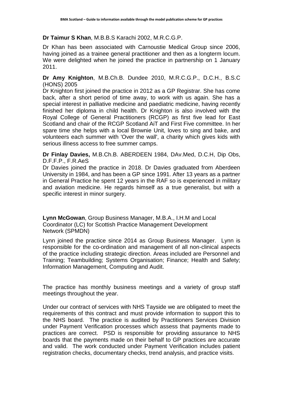# **Dr Taimur S Khan**, M.B.B.S Karachi 2002, M.R.C.G.P.

Dr Khan has been associated with Carnoustie Medical Group since 2006, having joined as a trainee general practitioner and then as a longterm locum. We were delighted when he joined the practice in partnership on 1 January 2011.

# **Dr Amy Knighton**, M.B.Ch.B. Dundee 2010, M.R.C.G.P., D.C.H., B.S.C (HONS) 2005

Dr Knighton first joined the practice in 2012 as a GP Registrar. She has come back, after a short period of time away, to work with us again. She has a special interest in palliative medicine and paediatric medicine, having recently finished her diploma in child health. Dr Knighton is also involved with the Royal College of General Practitioners (RCGP) as first five lead for East Scotland and chair of the RCGP Scotland AiT and First Five committee. In her spare time she helps with a local Brownie Unit, loves to sing and bake, and volunteers each summer with 'Over the wall', a charity which gives kids with serious illness access to free summer camps.

# **Dr Finlay Davies,** M.B.Ch.B. ABERDEEN 1984, DAv.Med, D.C.H, Dip Obs, D.F.F.P., F.R.AeS

Dr Davies joined the practice in 2018. Dr Davies graduated from Aberdeen University in 1984, and has been a GP since 1991. After 13 years as a partner in General Practice he spent 12 years in the RAF so is experienced in military and aviation medicine. He regards himself as a true generalist, but with a specific interest in minor surgery.

**Lynn McGowan**, Group Business Manager, M.B.A., I.H.M and Local Coordinator (LC) for Scottish Practice Management Development Network (SPMDN)

Lynn joined the practice since 2014 as Group Business Manager. Lynn is responsible for the co-ordination and management of all non-clinical aspects of the practice including strategic direction. Areas included are Personnel and Training; Teambuilding; Systems Organisation; Finance; Health and Safety; Information Management, Computing and Audit.

The practice has monthly business meetings and a variety of group staff meetings throughout the year.

Under our contract of services with NHS Tayside we are obligated to meet the requirements of this contract and must provide information to support this to the NHS board. The practice is audited by Practitioners Services Division under Payment Verification processes which assess that payments made to practices are correct. PSD is responsible for providing assurance to NHS boards that the payments made on their behalf to GP practices are accurate and valid. The work conducted under Payment Verification includes patient registration checks, documentary checks, trend analysis, and practice visits.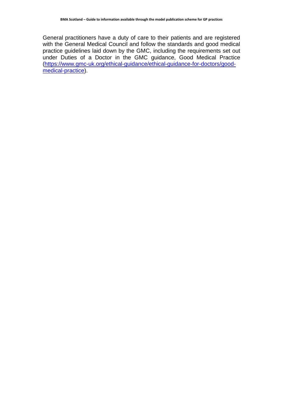General practitioners have a duty of care to their patients and are registered with the General Medical Council and follow the standards and good medical practice guidelines laid down by the GMC, including the requirements set out under Duties of a Doctor in the GMC guidance, Good Medical Practice [\(https://www.gmc-uk.org/ethical-guidance/ethical-guidance-for-doctors/good](https://www.gmc-uk.org/ethical-guidance/ethical-guidance-for-doctors/good-medical-practice)[medical-practice\)](https://www.gmc-uk.org/ethical-guidance/ethical-guidance-for-doctors/good-medical-practice).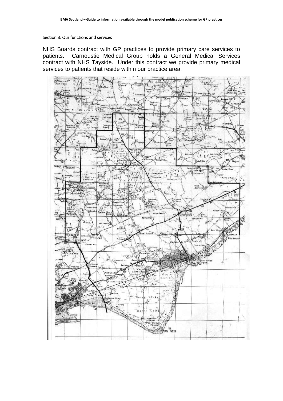#### Section 3: Our functions and services

NHS Boards contract with GP practices to provide primary care services to patients. Carnoustie Medical Group holds a General Medical Services contract with NHS Tayside. Under this contract we provide primary medical services to patients that reside within our practice area:

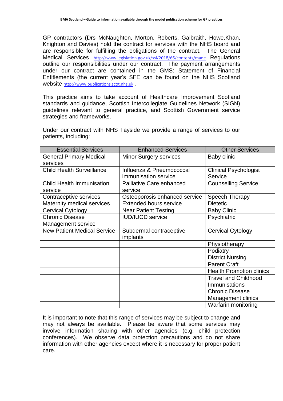GP contractors (Drs McNaughton, Morton, Roberts, Galbraith, Howe,Khan, Knighton and Davies) hold the contract for services with the NHS board and are responsible for fulfilling the obligations of the contract. The General Medical Services <http://www.legislation.gov.uk/ssi/2018/66/contents/made> Regulations outline our responsibilities under our contract. The payment arrangements under our contract are contained in the GMS: Statement of Financial Entitlements (the current year's SFE can be found on the NHS Scotland website [http://www.publications.scot.nhs.uk](http://www.publications.scot.nhs.uk/) .

This practice aims to take account of Healthcare Improvement Scotland standards and guidance, Scottish Intercollegiate Guidelines Network (SIGN) guidelines relevant to general practice, and Scottish Government service strategies and frameworks.

Under our contract with NHS Tayside we provide a range of services to our patients, including:

| <b>Essential Services</b>          | <b>Enhanced Services</b>      | <b>Other Services</b>           |
|------------------------------------|-------------------------------|---------------------------------|
| <b>General Primary Medical</b>     | <b>Minor Surgery services</b> | Baby clinic                     |
| services                           |                               |                                 |
| <b>Child Health Surveillance</b>   | Influenza & Pneumococcal      | <b>Clinical Psychologist</b>    |
|                                    | immunisation service          | Service                         |
| <b>Child Health Immunisation</b>   | Palliative Care enhanced      | <b>Counselling Service</b>      |
| service                            | service                       |                                 |
| Contraceptive services             | Osteoporosis enhanced service | Speech Therapy                  |
| Maternity medical services         | <b>Extended hours service</b> | <b>Dietetic</b>                 |
| <b>Cervical Cytology</b>           | <b>Near Patient Testing</b>   | <b>Baby Clinic</b>              |
| <b>Chronic Disease</b>             | <b>IUD/IUCD service</b>       | Psychiatric                     |
| Management service                 |                               |                                 |
| <b>New Patient Medical Service</b> | Subdermal contraceptive       | <b>Cervical Cytology</b>        |
|                                    | implants                      |                                 |
|                                    |                               | Physiotherapy                   |
|                                    |                               | Podiatry                        |
|                                    |                               | <b>District Nursing</b>         |
|                                    |                               | <b>Parent Craft</b>             |
|                                    |                               | <b>Health Promotion clinics</b> |
|                                    |                               | <b>Travel and Childhood</b>     |
|                                    |                               | <b>Immunisations</b>            |
|                                    |                               | <b>Chronic Disease</b>          |
|                                    |                               | <b>Management clinics</b>       |
|                                    |                               | Warfarin monitoring             |

It is important to note that this range of services may be subject to change and may not always be available. Please be aware that some services may involve information sharing with other agencies (e.g. child protection conferences). We observe data protection precautions and do not share information with other agencies except where it is necessary for proper patient care.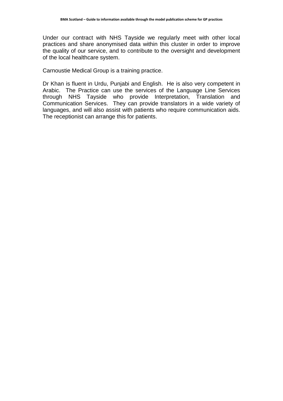Under our contract with NHS Tayside we regularly meet with other local practices and share anonymised data within this cluster in order to improve the quality of our service, and to contribute to the oversight and development of the local healthcare system.

Carnoustie Medical Group is a training practice.

Dr Khan is fluent in Urdu, Punjabi and English. He is also very competent in Arabic. The Practice can use the services of the Language Line Services through NHS Tayside who provide Interpretation, Translation and Communication Services. They can provide translators in a wide variety of languages, and will also assist with patients who require communication aids. The receptionist can arrange this for patients.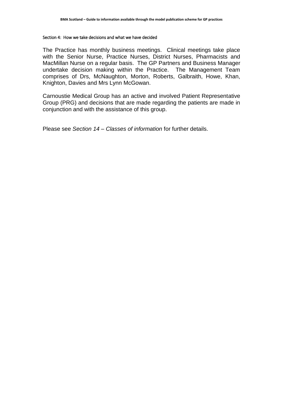#### Section 4: How we take decisions and what we have decided

The Practice has monthly business meetings. Clinical meetings take place with the Senior Nurse, Practice Nurses, District Nurses, Pharmacists and MacMillan Nurse on a regular basis. The GP Partners and Business Manager undertake decision making within the Practice. The Management Team comprises of Drs, McNaughton, Morton, Roberts, Galbraith, Howe, Khan, Knighton, Davies and Mrs Lynn McGowan.

Carnoustie Medical Group has an active and involved Patient Representative Group (PRG) and decisions that are made regarding the patients are made in conjunction and with the assistance of this group.

Please see *Section 14 – Classes of information* for further details.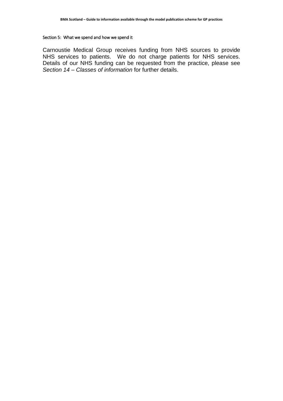## Section 5: What we spend and how we spend it

Carnoustie Medical Group receives funding from NHS sources to provide NHS services to patients. We do not charge patients for NHS services. Details of our NHS funding can be requested from the practice, please see *Section 14 – Classes of information* for further details.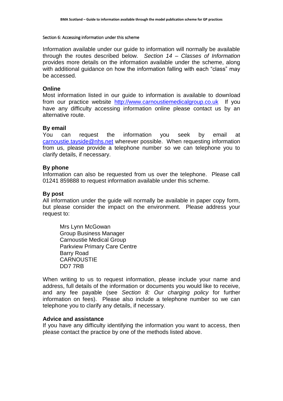#### Section 6: Accessing information under this scheme

Information available under our guide to information will normally be available through the routes described below. *Section 14 – Classes of Information*  provides more details on the information available under the scheme, along with additional guidance on how the information falling with each "class" may be accessed.

# **Online**

Most information listed in our guide to information is available to download from our practice website [http://www.carnoustiemedicalgroup.co.uk](http://www.carnoustiemedicalgroup.co.uk/) If you have any difficulty accessing information online please contact us by an alternative route.

# **By email**

You can request the information you seek by email at [carnoustie.tayside@nhs.net](mailto:carnoustie.tayside@nhs.net) wherever possible. When requesting information from us, please provide a telephone number so we can telephone you to clarify details, if necessary.

# **By phone**

Information can also be requested from us over the telephone. Please call 01241 859888 to request information available under this scheme.

# **By post**

All information under the guide will normally be available in paper copy form, but please consider the impact on the environment. Please address your request to:

Mrs Lynn McGowan Group Business Manager Carnoustie Medical Group Parkview Primary Care Centre Barry Road **CARNOUSTIE** DD7 7RB

When writing to us to request information, please include your name and address, full details of the information or documents you would like to receive, and any fee payable (see *Section 8: Our charging policy* for further information on fees). Please also include a telephone number so we can telephone you to clarify any details, if necessary.

# **Advice and assistance**

If you have any difficulty identifying the information you want to access, then please contact the practice by one of the methods listed above.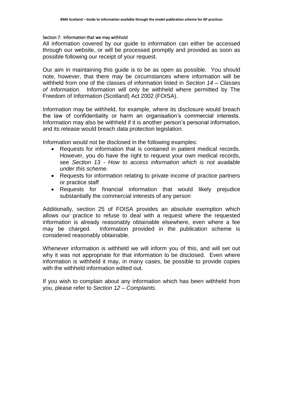#### Section 7: Information that we may withhold

All information covered by our guide to information can either be accessed through our website, or will be processed promptly and provided as soon as possible following our receipt of your request.

Our aim in maintaining this guide is to be as open as possible. You should note, however, that there may be circumstances where information will be withheld from one of the classes of information listed in *Section 14 – Classes of Information*. Information will only be withheld where permitted by The Freedom of Information (Scotland) Act 2002 (FOISA).

Information may be withheld, for example, where its disclosure would breach the law of confidentiality or harm an organisation's commercial interests. Information may also be withheld if it is another person's personal information, and its release would breach data protection legislation.

Information would not be disclosed in the following examples:

- Requests for information that is contained in patient medical records. However, you do have the right to request your own medical records, see *Section 13 - How to access information which is not available under this scheme.*
- Requests for information relating to private income of practice partners or practice staff
- Requests for financial information that would likely prejudice substantially the commercial interests of any person

Additionally, section 25 of FOISA provides an absolute exemption which allows our practice to refuse to deal with a request where the requested information is already reasonably obtainable elsewhere, even where a fee may be charged. Information provided in the publication scheme is considered reasonably obtainable.

Whenever information is withheld we will inform you of this, and will set out why it was not appropriate for that information to be disclosed. Even where information is withheld it may, in many cases, be possible to provide copies with the withheld information edited out.

If you wish to complain about any information which has been withheld from you, please refer to *Section 12 – Complaints*.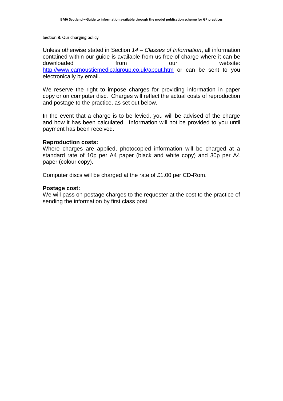#### Section 8: Our charging policy

Unless otherwise stated in Section *14 – Classes of Information*, all information contained within our guide is available from us free of charge where it can be downloaded **from** our website: <http://www.carnoustiemedicalgroup.co.uk/about.htm> or can be sent to you electronically by email.

We reserve the right to impose charges for providing information in paper copy or on computer disc. Charges will reflect the actual costs of reproduction and postage to the practice, as set out below.

In the event that a charge is to be levied, you will be advised of the charge and how it has been calculated. Information will not be provided to you until payment has been received.

# **Reproduction costs:**

Where charges are applied, photocopied information will be charged at a standard rate of 10p per A4 paper (black and white copy) and 30p per A4 paper (colour copy).

Computer discs will be charged at the rate of £1.00 per CD-Rom.

# **Postage cost:**

We will pass on postage charges to the requester at the cost to the practice of sending the information by first class post.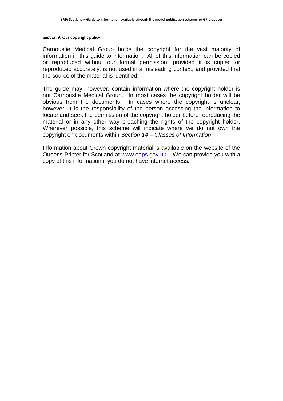#### Section 9: Our copyright policy

Carnoustie Medical Group holds the copyright for the vast majority of information in this guide to information. All of this information can be copied or reproduced without our formal permission, provided it is copied or reproduced accurately, is not used in a misleading context, and provided that the source of the material is identified.

The guide may, however, contain information where the copyright holder is not Carnoustie Medical Group. In most cases the copyright holder will be obvious from the documents. In cases where the copyright is unclear, however, it is the responsibility of the person accessing the information to locate and seek the permission of the copyright holder before reproducing the material or in any other way breaching the rights of the copyright holder. Wherever possible, this scheme will indicate where we do not own the copyright on documents within *Section 14 – Classes of Information*.

Information about Crown copyright material is available on the website of the Queens Printer for Scotland at www.ogps.gov.uk . We can provide you with a copy of this information if you do not have internet access.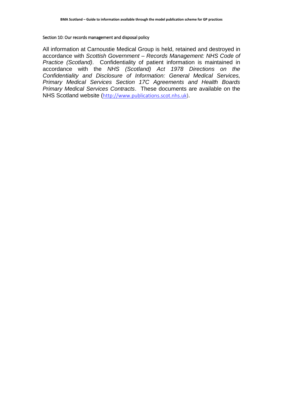#### Section 10: Our records management and disposal policy

All information at Carnoustie Medical Group is held, retained and destroyed in accordance with *Scottish Government – Records Management: NHS Code of Practice (Scotland)*. Confidentiality of patient information is maintained in accordance with the *NHS (Scotland) Act 1978 Directions on the Confidentiality and Disclosure of Information: General Medical Services, Primary Medical Services Section 17C Agreements and Health Boards Primary Medical Services Contracts*. These documents are available on the NHS Scotland website ([http://www.publications.scot.nhs.uk\)](http://www.publications.scot.nhs.uk/).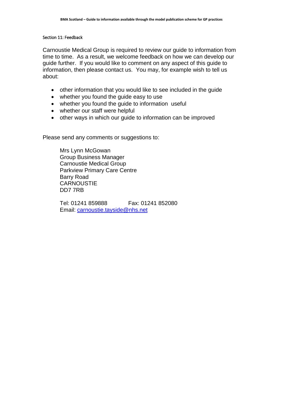#### Section 11: Feedback

Carnoustie Medical Group is required to review our guide to information from time to time. As a result, we welcome feedback on how we can develop our guide further. If you would like to comment on any aspect of this guide to information, then please contact us. You may, for example wish to tell us about:

- other information that you would like to see included in the guide
- whether you found the guide easy to use
- whether you found the quide to information useful
- whether our staff were helpful
- other ways in which our guide to information can be improved

Please send any comments or suggestions to:

Mrs Lynn McGowan Group Business Manager Carnoustie Medical Group Parkview Primary Care Centre Barry Road **CARNOUSTIE** DD7 7RB

Tel: 01241 859888 Fax: 01241 852080 Email: [carnoustie.tayside@nhs.net](mailto:carnoustie.tayside@nhs.net)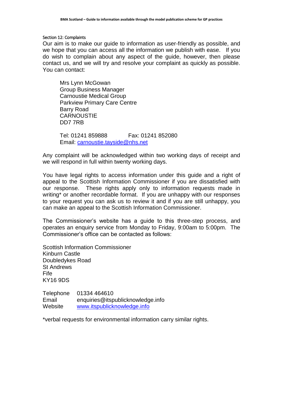## Section 12: Complaints

Our aim is to make our guide to information as user-friendly as possible, and we hope that you can access all the information we publish with ease. If you do wish to complain about any aspect of the guide, however, then please contact us, and we will try and resolve your complaint as quickly as possible. You can contact:

Mrs Lynn McGowan Group Business Manager Carnoustie Medical Group Parkview Primary Care Centre Barry Road **CARNOUSTIE** DD7 7RB

Tel: 01241 859888 Fax: 01241 852080 Email: [carnoustie.tayside@nhs.net](mailto:carnoustie.tayside@nhs.net)

Any complaint will be acknowledged within two working days of receipt and we will respond in full within twenty working days.

You have legal rights to access information under this guide and a right of appeal to the Scottish Information Commissioner if you are dissatisfied with our response. These rights apply only to information requests made in writing<sup>\*</sup> or another recordable format. If you are unhappy with our responses to your request you can ask us to review it and if you are still unhappy, you can make an appeal to the Scottish Information Commissioner.

The Commissioner's website has a guide to this three-step process, and operates an enquiry service from Monday to Friday, 9:00am to 5:00pm. The Commissioner's office can be contacted as follows:

Scottish Information Commissioner Kinburn Castle Doubledykes Road St Andrews Fife KY16 9DS

Telephone 01334 464610 Email enquiries@itspublicknowledge.info Website [www.itspublicknowledge.info](http://www.itspublicknowledge.info/)

\*verbal requests for environmental information carry similar rights.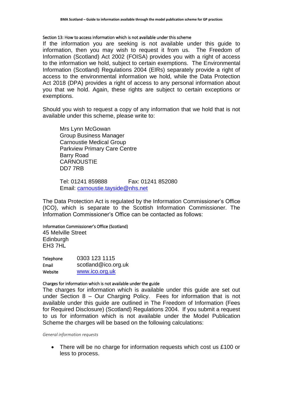## Section 13: How to access information which is not available under this scheme

If the information you are seeking is not available under this guide to information, then you may wish to request it from us. The Freedom of Information (Scotland) Act 2002 (FOISA) provides you with a right of access to the information we hold, subject to certain exemptions. The Environmental Information (Scotland) Regulations 2004 (EIRs) separately provide a right of access to the environmental information we hold, while the Data Protection Act 2018 (DPA) provides a right of access to any personal information about you that we hold. Again, these rights are subject to certain exceptions or exemptions.

Should you wish to request a copy of any information that we hold that is not available under this scheme, please write to:

Mrs Lynn McGowan Group Business Manager Carnoustie Medical Group Parkview Primary Care Centre Barry Road **CARNOUSTIF** DD7 7RB

Tel: 01241 859888 Fax: 01241 852080 Email: [carnoustie.tayside@nhs.net](mailto:carnoustie.tayside@nhs.net)

The Data Protection Act is regulated by the Information Commissioner's Office (ICO), which is separate to the Scottish Information Commissioner. The Information Commissioner's Office can be contacted as follows:

# Information Commissioner's Office (Scotland)

45 Melville Street **Edinburgh** EH3 7HL

| 0303 123 1115       |
|---------------------|
| scotland@ico.org.uk |
| www.ico.org.uk      |
|                     |

# Charges for information which is not available under the guide

The charges for information which is available under this guide are set out under Section 8 – Our Charging Policy. Fees for information that is not available under this guide are outlined in The Freedom of Information (Fees for Required Disclosure) (Scotland) Regulations 2004. If you submit a request to us for information which is not available under the Model Publication Scheme the charges will be based on the following calculations:

*General information requests*

• There will be no charge for information requests which cost us £100 or less to process.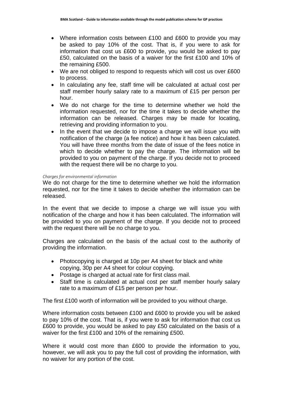- Where information costs between £100 and £600 to provide you may be asked to pay 10% of the cost. That is, if you were to ask for information that cost us £600 to provide, you would be asked to pay £50, calculated on the basis of a waiver for the first £100 and 10% of the remaining £500.
- We are not obliged to respond to requests which will cost us over £600 to process.
- In calculating any fee, staff time will be calculated at actual cost per staff member hourly salary rate to a maximum of £15 per person per hour.
- We do not charge for the time to determine whether we hold the information requested, nor for the time it takes to decide whether the information can be released. Charges may be made for locating, retrieving and providing information to you.
- In the event that we decide to impose a charge we will issue you with notification of the charge (a fee notice) and how it has been calculated. You will have three months from the date of issue of the fees notice in which to decide whether to pay the charge. The information will be provided to you on payment of the charge. If you decide not to proceed with the request there will be no charge to you.

# *Charges for environmental information*

We do not charge for the time to determine whether we hold the information requested, nor for the time it takes to decide whether the information can be released.

In the event that we decide to impose a charge we will issue you with notification of the charge and how it has been calculated. The information will be provided to you on payment of the charge. If you decide not to proceed with the request there will be no charge to you.

Charges are calculated on the basis of the actual cost to the authority of providing the information.

- Photocopying is charged at 10p per A4 sheet for black and white copying, 30p per A4 sheet for colour copying.
- Postage is charged at actual rate for first class mail.
- Staff time is calculated at actual cost per staff member hourly salary rate to a maximum of £15 per person per hour.

The first £100 worth of information will be provided to you without charge.

Where information costs between £100 and £600 to provide you will be asked to pay 10% of the cost. That is, if you were to ask for information that cost us £600 to provide, you would be asked to pay £50 calculated on the basis of a waiver for the first £100 and 10% of the remaining £500.

Where it would cost more than £600 to provide the information to you, however, we will ask you to pay the full cost of providing the information, with no waiver for any portion of the cost.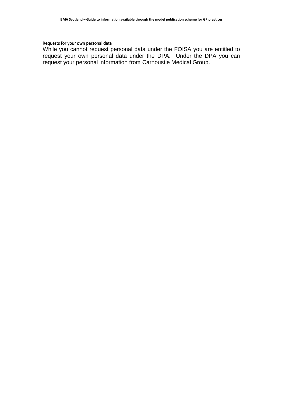# Requests for your own personal data

While you cannot request personal data under the FOISA you are entitled to request your own personal data under the DPA. Under the DPA you can request your personal information from Carnoustie Medical Group.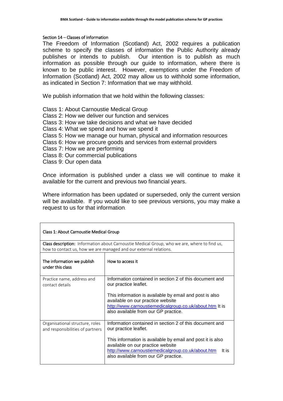## Section 14 – Classes of information

The Freedom of Information (Scotland) Act, 2002 requires a publication scheme to specify the classes of information the Public Authority already publishes or intends to publish. Our intention is to publish as much information as possible through our guide to information, where there is known to be public interest. However, exemptions under the Freedom of Information (Scotland) Act, 2002 may allow us to withhold some information, as indicated in Section 7: Information that we may withhold.

We publish information that we hold within the following classes:

- Class 1: About Carnoustie Medical Group
- Class 2: How we deliver our function and services
- Class 3: How we take decisions and what we have decided
- Class 4: What we spend and how we spend it
- Class 5: How we manage our human, physical and information resources
- Class 6: How we procure goods and services from external providers
- Class 7: How we are performing
- Class 8: Our commercial publications
- Class 9: Our open data

Once information is published under a class we will continue to make it available for the current and previous two financial years.

Where information has been updated or superseded, only the current version will be available. If you would like to see previous versions, you may make a request to us for that information.

| Class 1: About Carnoustie Medical Group                             |                                                                                                                                                                                                                                                                                           |  |
|---------------------------------------------------------------------|-------------------------------------------------------------------------------------------------------------------------------------------------------------------------------------------------------------------------------------------------------------------------------------------|--|
|                                                                     | Class description: Information about Carnoustie Medical Group, who we are, where to find us,                                                                                                                                                                                              |  |
| how to contact us, how we are managed and our external relations.   |                                                                                                                                                                                                                                                                                           |  |
| The information we publish<br>under this class                      | How to access it                                                                                                                                                                                                                                                                          |  |
| Practice name, address and<br>contact details                       | Information contained in section 2 of this document and<br>our practice leaflet.<br>This information is available by email and post is also<br>available on our practice website<br>http://www.carnoustiemedicalgroup.co.uk/about.htm It is<br>also available from our GP practice.       |  |
| Organisational structure, roles<br>and responsibilities of partners | Information contained in section 2 of this document and<br>our practice leaflet.<br>This information is available by email and post it is also<br>available on our practice website<br>http://www.carnoustiemedicalgroup.co.uk/about.htm<br>It is<br>also available from our GP practice. |  |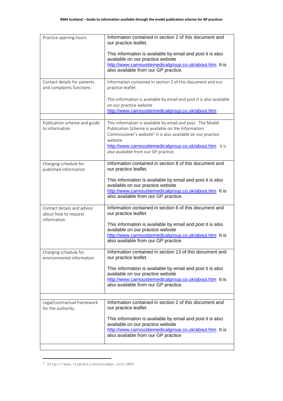| Practice opening hours                                   | Information contained in section 2 of this document and<br>our practice leaflet.                                               |
|----------------------------------------------------------|--------------------------------------------------------------------------------------------------------------------------------|
|                                                          | This information is available by email and post it is also<br>available on our practice website                                |
|                                                          | http://www.carnoustiemedicalgroup.co.uk/about.htm It is<br>also available from our GP practice.                                |
|                                                          |                                                                                                                                |
| Contact details for patients<br>and complaints functions | Information contained in section 2 of this document and our<br>practice leaflet.                                               |
|                                                          | This information is available by email and post it is also available<br>on our practice website                                |
|                                                          | http://www.carnoustiemedicalgroup.co.uk/about.htm                                                                              |
| Publication scheme and guide                             | This information is available by email and post. The Model                                                                     |
| to information                                           | Publication Scheme is available on the Information<br>Commissioner's website <sup>1</sup> it is also available on our practice |
|                                                          | website<br>http://www.carnoustiemedicalgroup.co.uk/about.htm It is                                                             |
|                                                          | also available from our GP practice.                                                                                           |
| Charging schedule for                                    | Information contained in section 8 of this document and                                                                        |
| published information                                    | our practice leaflet.                                                                                                          |
|                                                          | This information is available by email and post it is also<br>available on our practice website                                |
|                                                          | http://www.carnoustiemedicalgroup.co.uk/about.htm It is                                                                        |
|                                                          | also available from our GP practice.                                                                                           |
| Contact details and advice<br>about how to request       | Information contained in section 6 of this document and<br>our practice leaflet.                                               |
| information                                              | This information is available by email and post it is also<br>available on our practice website                                |
|                                                          | http://www.carnoustiemedicalgroup.co.uk/about.htm It is                                                                        |
|                                                          | also available from our GP practice.                                                                                           |
| Charging schedule for<br>environmental information       | Information contained in section 13 of this document and<br>our practice leaflet.                                              |
|                                                          | This information is available by email and post it is also                                                                     |
|                                                          | available on our practice website<br>http://www.carnoustiemedicalgroup.co.uk/about.htm It is                                   |
|                                                          | also available from our GP practice.                                                                                           |
|                                                          |                                                                                                                                |
| Legal/contractual framework<br>for the authority         | Information contained in section 2 of this document and<br>our practice leaflet.                                               |
|                                                          | This information is available by email and post it is also                                                                     |
|                                                          | available on our practice website<br>http://www.carnoustiemedicalgroup.co.uk/about.htm It is                                   |
|                                                          | also available from our GP practice                                                                                            |
|                                                          |                                                                                                                                |

<sup>1</sup> http://www.itspublicknowledge.info/MPS

i<br>L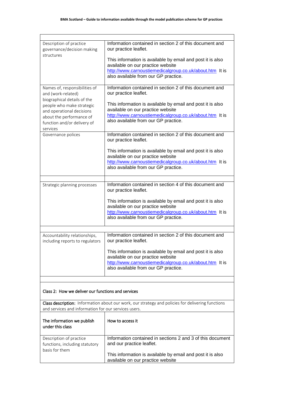| Description of practice<br>governance/decision making                                            | Information contained in section 2 of this document and<br>our practice leaflet.                                                                                                                   |
|--------------------------------------------------------------------------------------------------|----------------------------------------------------------------------------------------------------------------------------------------------------------------------------------------------------|
| structures                                                                                       | This information is available by email and post it is also<br>available on our practice website<br>http://www.carnoustiemedicalgroup.co.uk/about.htm It is<br>also available from our GP practice. |
| Names of, responsibilities of<br>and (work-related)                                              | Information contained in section 2 of this document and<br>our practice leaflet.                                                                                                                   |
| biographical details of the                                                                      |                                                                                                                                                                                                    |
| people who make strategic                                                                        | This information is available by email and post it is also<br>available on our practice website                                                                                                    |
| and operational decisions<br>about the performance of<br>function and/or delivery of<br>services | http://www.carnoustiemedicalgroup.co.uk/about.htm It is<br>also available from our GP practice.                                                                                                    |
| Governance polices                                                                               | Information contained in section 2 of this document and<br>our practice leaflet.                                                                                                                   |
|                                                                                                  | This information is available by email and post it is also                                                                                                                                         |
|                                                                                                  | available on our practice website<br>http://www.carnoustiemedicalgroup.co.uk/about.htm It is                                                                                                       |
|                                                                                                  | also available from our GP practice.                                                                                                                                                               |
| Strategic planning processes                                                                     | Information contained in section 4 of this document and                                                                                                                                            |
|                                                                                                  | our practice leaflet.                                                                                                                                                                              |
|                                                                                                  | This information is available by email and post it is also<br>available on our practice website                                                                                                    |
|                                                                                                  | http://www.carnoustiemedicalgroup.co.uk/about.htm It is                                                                                                                                            |
|                                                                                                  | also available from our GP practice.                                                                                                                                                               |
| Accountability relationships,                                                                    | Information contained in section 2 of this document and                                                                                                                                            |
| including reports to regulators                                                                  | our practice leaflet.                                                                                                                                                                              |
|                                                                                                  | This information is available by email and post it is also<br>available on our practice website                                                                                                    |
|                                                                                                  | http://www.carnoustiemedicalgroup.co.uk/about.htm It is                                                                                                                                            |
|                                                                                                  | also available from our GP practice.                                                                                                                                                               |
|                                                                                                  |                                                                                                                                                                                                    |
| Class 2: How we deliver our functions and services                                               |                                                                                                                                                                                                    |
| and services and information for our services users.                                             | Class description: Information about our work, our strategy and policies for delivering functions                                                                                                  |
| The information we publish<br>under this class                                                   | How to access it                                                                                                                                                                                   |
| Description of practice<br>functions, including statutory<br>basis for them                      | Information contained in sections 2 and 3 of this document<br>and our practice leaflet.                                                                                                            |
|                                                                                                  | This information is available by email and post it is also<br>available on our practice website                                                                                                    |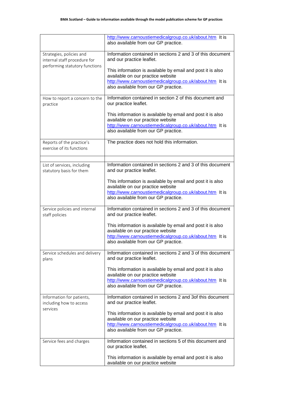|                                                          | http://www.carnoustiemedicalgroup.co.uk/about.htm It is<br>also available from our GP practice.                                                                                                    |
|----------------------------------------------------------|----------------------------------------------------------------------------------------------------------------------------------------------------------------------------------------------------|
| Strategies, policies and<br>internal staff procedure for | Information contained in sections 2 and 3 of this document<br>and our practice leaflet.                                                                                                            |
| performing statutory functions                           | This information is available by email and post it is also<br>available on our practice website<br>http://www.carnoustiemedicalgroup.co.uk/about.htm It is<br>also available from our GP practice. |
| How to report a concern to the<br>practice               | Information contained in section 2 of this document and<br>our practice leaflet.                                                                                                                   |
|                                                          | This information is available by email and post it is also<br>available on our practice website<br>http://www.carnoustiemedicalgroup.co.uk/about.htm It is<br>also available from our GP practice. |
| Reports of the practice's<br>exercise of its functions   | The practice does not hold this information.                                                                                                                                                       |
| List of services, including<br>statutory basis for them  | Information contained in sections 2 and 3 of this document<br>and our practice leaflet.                                                                                                            |
|                                                          | This information is available by email and post it is also<br>available on our practice website<br>http://www.carnoustiemedicalgroup.co.uk/about.htm It is<br>also available from our GP practice. |
| Service policies and internal<br>staff policies          | Information contained in sections 2 and 3 of this document<br>and our practice leaflet.                                                                                                            |
|                                                          | This information is available by email and post it is also<br>available on our practice website<br>http://www.carnoustiemedicalgroup.co.uk/about.htm It is<br>also available from our GP practice. |
| Service schedules and delivery<br>plans                  | Information contained in sections 2 and 3 of this document<br>and our practice leaflet.                                                                                                            |
|                                                          | This information is available by email and post it is also<br>available on our practice website<br>http://www.carnoustiemedicalgroup.co.uk/about.htm It is<br>also available from our GP practice. |
| Information for patients,<br>including how to access     | Information contained in sections 2 and 3of this document<br>and our practice leaflet.                                                                                                             |
| services                                                 | This information is available by email and post it is also<br>available on our practice website<br>http://www.carnoustiemedicalgroup.co.uk/about.htm It is<br>also available from our GP practice. |
| Service fees and charges                                 | Information contained in sections 5 of this document and<br>our practice leaflet.                                                                                                                  |
|                                                          | This information is available by email and post it is also<br>available on our practice website                                                                                                    |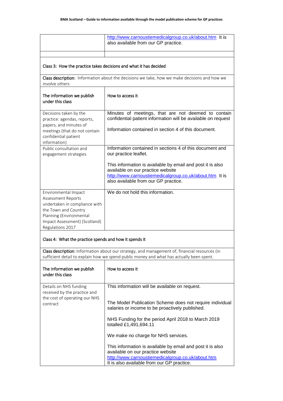|                                                                   | http://www.carnoustiemedicalgroup.co.uk/about.htm It is<br>also available from our GP practice.                                                                                           |
|-------------------------------------------------------------------|-------------------------------------------------------------------------------------------------------------------------------------------------------------------------------------------|
|                                                                   |                                                                                                                                                                                           |
|                                                                   |                                                                                                                                                                                           |
|                                                                   |                                                                                                                                                                                           |
| Class 3: How the practice takes decisions and what it has decided |                                                                                                                                                                                           |
|                                                                   | Class description: Information about the decisions we take, how we make decisions and how we                                                                                              |
| involve others                                                    |                                                                                                                                                                                           |
|                                                                   |                                                                                                                                                                                           |
| The information we publish<br>under this class                    | How to access it                                                                                                                                                                          |
|                                                                   |                                                                                                                                                                                           |
| Decisions taken by the                                            | Minutes of meetings, that are not deemed to contain                                                                                                                                       |
| practice: agendas, reports,                                       | confidential patient information will be available on request                                                                                                                             |
| papers, and minutes of                                            | Information contained in section 4 of this document.                                                                                                                                      |
| meetings (that do not contain<br>confidential patient             |                                                                                                                                                                                           |
| information)                                                      |                                                                                                                                                                                           |
| Public consultation and                                           | Information contained in sections 4 of this document and                                                                                                                                  |
| engagement strategies                                             | our practice leaflet.                                                                                                                                                                     |
|                                                                   | This information is available by email and post it is also                                                                                                                                |
|                                                                   | available on our practice website                                                                                                                                                         |
|                                                                   | http://www.carnoustiemedicalgroup.co.uk/about.htm It is                                                                                                                                   |
|                                                                   | also available from our GP practice.                                                                                                                                                      |
| Environmental Impact                                              | We do not hold this information.                                                                                                                                                          |
| <b>Assessment Reports</b>                                         |                                                                                                                                                                                           |
| undertaken in compliance with                                     |                                                                                                                                                                                           |
| the Town and Country                                              |                                                                                                                                                                                           |
| Planning (Environmental<br>Impact Assessment) (Scotland)          |                                                                                                                                                                                           |
| Regulations 2017                                                  |                                                                                                                                                                                           |
|                                                                   |                                                                                                                                                                                           |
| Class 4: What the practice spends and how it spends it            |                                                                                                                                                                                           |
|                                                                   |                                                                                                                                                                                           |
|                                                                   | Class description: Information about our strategy, and management of, financial resources (in<br>sufficient detail to explain how we spend public money and what has actually been spent. |
|                                                                   |                                                                                                                                                                                           |
| The information we publish                                        | How to access it                                                                                                                                                                          |
| under this class                                                  |                                                                                                                                                                                           |
| Details on NHS funding                                            | This information will be available on request.                                                                                                                                            |
| received by the practice and                                      |                                                                                                                                                                                           |
| the cost of operating our NHS                                     |                                                                                                                                                                                           |
| contract                                                          | The Model Publication Scheme does not require individual<br>salaries or income to be proactively published.                                                                               |
|                                                                   |                                                                                                                                                                                           |
|                                                                   | NHS Funding for the period April 2018 to March 2019                                                                                                                                       |
|                                                                   | totalled £1,491,694.11                                                                                                                                                                    |
|                                                                   | We make no charge for NHS services.                                                                                                                                                       |
|                                                                   |                                                                                                                                                                                           |
|                                                                   | This information is available by email and post it is also                                                                                                                                |
|                                                                   | available on our practice website<br>http://www.carnoustiemedicalgroup.co.uk/about.htm                                                                                                    |
|                                                                   | It is also available from our GP practice.                                                                                                                                                |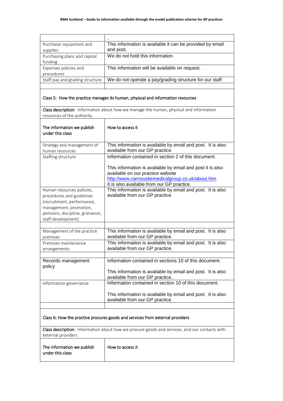| Purchaser equipment and                                                                                                                     | This information is available it can be provided by email                                                                                            |  |
|---------------------------------------------------------------------------------------------------------------------------------------------|------------------------------------------------------------------------------------------------------------------------------------------------------|--|
| supplies                                                                                                                                    | and post.                                                                                                                                            |  |
| Purchasing plans and capital                                                                                                                | We do not hold this information                                                                                                                      |  |
| funding<br>Expenses policies and                                                                                                            | This information will be available on request.                                                                                                       |  |
| procedures                                                                                                                                  |                                                                                                                                                      |  |
| Staff pay and grading structure                                                                                                             | We do not operate a pay/grading structure for our staff.                                                                                             |  |
|                                                                                                                                             |                                                                                                                                                      |  |
|                                                                                                                                             | Class 5: How the practice manages its human, physical and information resources                                                                      |  |
| resources of the authority                                                                                                                  | Class description: Information about how we manage the human, physical and information                                                               |  |
| The information we publish<br>under this class                                                                                              | How to access it                                                                                                                                     |  |
| Strategy and management of<br>human resources                                                                                               | This information is available by email and post. It is also<br>available from our GP practice.                                                       |  |
| Staffing structure                                                                                                                          | Information contained in section 2 of this document.                                                                                                 |  |
|                                                                                                                                             | This information is available by email and post it is also<br>available on our practice website<br>http://www.carnoustiemedicalgroup.co.uk/about.htm |  |
| Human resources policies,                                                                                                                   | It is also available from our GP practice.<br>This information is available by email and post. It is also                                            |  |
| procedures and guidelines<br>(recruitment, performance,<br>management, promotion,<br>pensions, discipline, grievance,<br>staff development) | available from our GP practice.                                                                                                                      |  |
|                                                                                                                                             |                                                                                                                                                      |  |
| Management of the practice<br>premises                                                                                                      | This information is available by email and post. It is also<br>available from our GP practice.                                                       |  |
| Premises maintenance<br>arrangements                                                                                                        | This information is available by email and post. It is also<br>available from our GP practice.                                                       |  |
| Records management                                                                                                                          | Information contained in sections 10 of this document.                                                                                               |  |
| policy                                                                                                                                      | This information is available by email and post. It is also<br>available from our GP practice                                                        |  |
| Information governance                                                                                                                      | Information contained in section 10 of this document.                                                                                                |  |
|                                                                                                                                             | This information is available by email and post. It is also<br>available from our GP practice.                                                       |  |
| Class 6: How the practice procures goods and services from external providers                                                               |                                                                                                                                                      |  |
| external providers                                                                                                                          | Class description: Information about how we procure goods and services, and our contacts with                                                        |  |
| The information we publish<br>under this class                                                                                              | How to access it                                                                                                                                     |  |
|                                                                                                                                             |                                                                                                                                                      |  |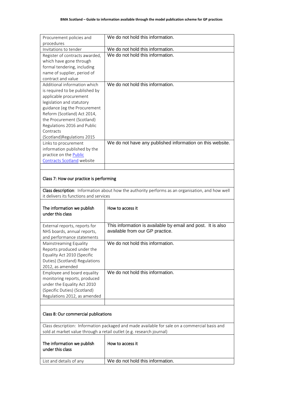| Procurement policies and                                    | We do not hold this information.                                                                 |
|-------------------------------------------------------------|--------------------------------------------------------------------------------------------------|
| procedures                                                  |                                                                                                  |
| Invitations to tender                                       | We do not hold this information.                                                                 |
| Register of contracts awarded,                              | We do not hold this information.                                                                 |
| which have gone through                                     |                                                                                                  |
| formal tendering, including                                 |                                                                                                  |
| name of supplier, period of                                 |                                                                                                  |
| contract and value                                          |                                                                                                  |
| Additional information which                                | We do not hold this information.                                                                 |
| is required to be published by                              |                                                                                                  |
| applicable procurement                                      |                                                                                                  |
| legislation and statutory                                   |                                                                                                  |
| guidance (eg the Procurement<br>Reform (Scotland) Act 2014, |                                                                                                  |
| the Procurement (Scotland)                                  |                                                                                                  |
| Regulations 2016 and Public                                 |                                                                                                  |
| Contracts                                                   |                                                                                                  |
| (Scotland)Regulations 2015                                  |                                                                                                  |
| Links to procurement                                        | We do not have any published information on this website.                                        |
| information published by the                                |                                                                                                  |
| practice on the Public                                      |                                                                                                  |
| Contracts Scotland website                                  |                                                                                                  |
|                                                             |                                                                                                  |
|                                                             |                                                                                                  |
| Class 7: How our practice is performing                     |                                                                                                  |
|                                                             |                                                                                                  |
|                                                             | Class description: Information about how the authority performs as an organisation, and how well |
| it delivers its functions and services                      |                                                                                                  |
|                                                             |                                                                                                  |
| The information we publish                                  | How to access it                                                                                 |
| under this class                                            |                                                                                                  |
|                                                             |                                                                                                  |
| External reports, reports for                               | This information is available by email and post. It is also                                      |
| NHS boards, annual reports,                                 | available from our GP practice.                                                                  |
| and performance statements                                  |                                                                                                  |
| Mainstreaming Equality                                      | We do not hold this information.                                                                 |
| Reports produced under the                                  |                                                                                                  |
| Equality Act 2010 (Specific                                 |                                                                                                  |
| Duties) (Scotland) Regulations                              |                                                                                                  |
|                                                             |                                                                                                  |
| 2012, as amended                                            |                                                                                                  |
| Employee and board equality                                 | We do not hold this information.                                                                 |
| monitoring reports, produced                                |                                                                                                  |
| under the Equality Act 2010                                 |                                                                                                  |
| (Specific Duties) (Scotland)                                |                                                                                                  |
| Regulations 2012, as amended                                |                                                                                                  |
|                                                             |                                                                                                  |
|                                                             |                                                                                                  |
| Class 8: Our commercial publications                        |                                                                                                  |
|                                                             |                                                                                                  |
|                                                             | Class description: Information packaged and made available for sale on a commercial basis and    |
|                                                             | sold at market value through a retail outlet (e.g. research journal)                             |
|                                                             |                                                                                                  |
| The information we publish                                  | How to access it                                                                                 |
| under this class                                            |                                                                                                  |